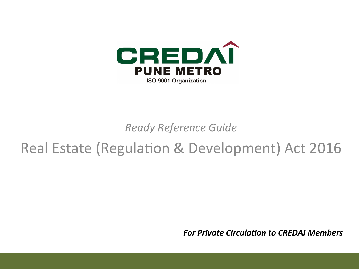

*Ready Reference Guide* 

# Real Estate (Regulation & Development) Act 2016

*For Private Circulation to CREDAI Members*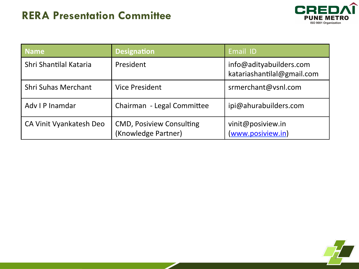### **RERA Presentation Committee**



| <b>Name</b>                | <b>Designation</b>                                     | Email ID                                              |
|----------------------------|--------------------------------------------------------|-------------------------------------------------------|
| Shri Shantilal Kataria     | President                                              | info@adityabuilders.com<br>katariashantilal@gmail.com |
| <b>Shri Suhas Merchant</b> | <b>Vice President</b>                                  | srmerchant@vsnl.com                                   |
| Adv I P Inamdar            | Chairman - Legal Committee                             | ipi@ahurabuilders.com                                 |
| CA Vinit Vyankatesh Deo    | <b>CMD, Posiview Consulting</b><br>(Knowledge Partner) | vinit@posiview.in<br>(www.posiview.in)                |

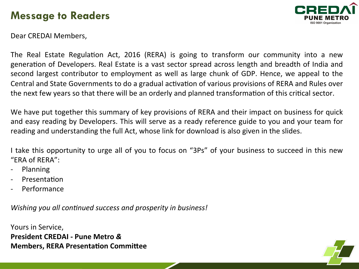### **Message to Readers**



Dear CREDAI Members,

The Real Estate Regulation Act, 2016 (RERA) is going to transform our community into a new generation of Developers. Real Estate is a vast sector spread across length and breadth of India and second largest contributor to employment as well as large chunk of GDP. Hence, we appeal to the Central and State Governments to do a gradual activation of various provisions of RERA and Rules over the next few years so that there will be an orderly and planned transformation of this critical sector.

We have put together this summary of key provisions of RERA and their impact on business for quick and easy reading by Developers. This will serve as a ready reference guide to you and your team for reading and understanding the full Act, whose link for download is also given in the slides.

I take this opportunity to urge all of you to focus on "3Ps" of your business to succeed in this new " $'FRA$  of  $RFRA$ ":

- Planning
- Presentation
- Performance

*Wishing you all continued success and prosperity in business!* 

Yours in Service, **President CREDAI - Pune Metro & Members, RERA Presentation Committee** 

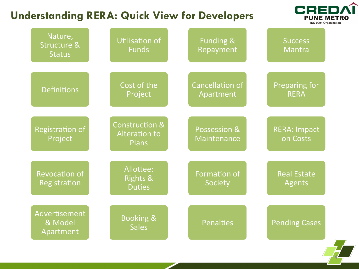### **Understanding RERA: Quick View for Developers**



| Nature,<br><b>Structure &amp;</b><br><b>Status</b> | <b>Utilisation of</b><br><b>Funds</b>                             | Funding &<br>Repayment              | <b>Success</b><br>Mantra            |
|----------------------------------------------------|-------------------------------------------------------------------|-------------------------------------|-------------------------------------|
| <b>Definitions</b>                                 | Cost of the<br>Project                                            | <b>Cancellation of</b><br>Apartment | <b>Preparing for</b><br><b>RERA</b> |
| <b>Registration of</b><br>Project                  | <b>Construction &amp;</b><br><b>Alteration to</b><br><b>Plans</b> | Possession &<br>Maintenance         | <b>RERA: Impact</b><br>on Costs     |
| <b>Revocation of</b><br>Registration               | Allottee:<br><b>Rights &amp;</b><br><b>Duties</b>                 | Formation of<br>Society             | <b>Real Estate</b><br>Agents        |
| Advertisement<br>& Model<br>Apartment              | <b>Booking &amp;</b><br><b>Sales</b>                              | Penalties                           | <b>Pending Cases</b>                |

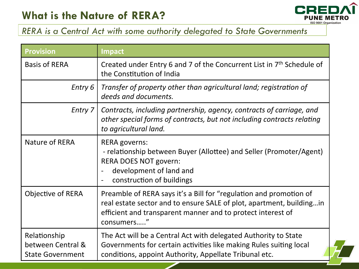## **What is the Nature of RERA?**



#### *RERA is a Central Act with some authority delegated to State Governments*

| <b>Provision</b>                                             | <b>Impact</b>                                                                                                                                                                                                            |
|--------------------------------------------------------------|--------------------------------------------------------------------------------------------------------------------------------------------------------------------------------------------------------------------------|
| <b>Basis of RERA</b>                                         | Created under Entry 6 and 7 of the Concurrent List in 7 <sup>th</sup> Schedule of<br>the Constitution of India                                                                                                           |
| Entry 6                                                      | Transfer of property other than agricultural land; registration of<br>deeds and documents.                                                                                                                               |
| Entry 7                                                      | Contracts, including partnership, agency, contracts of carriage, and<br>other special forms of contracts, but not including contracts relating<br>to agricultural land.                                                  |
| Nature of RERA                                               | <b>RERA governs:</b><br>- relationship between Buyer (Allottee) and Seller (Promoter/Agent)<br><b>RERA DOES NOT govern:</b><br>development of land and<br>construction of buildings                                      |
| Objective of RERA                                            | Preamble of RERA says it's a Bill for "regulation and promotion of<br>real estate sector and to ensure SALE of plot, apartment, building in<br>efficient and transparent manner and to protect interest of<br>consumers" |
| Relationship<br>between Central &<br><b>State Government</b> | The Act will be a Central Act with delegated Authority to State<br>Governments for certain activities like making Rules suiting local<br>conditions, appoint Authority, Appellate Tribunal etc.                          |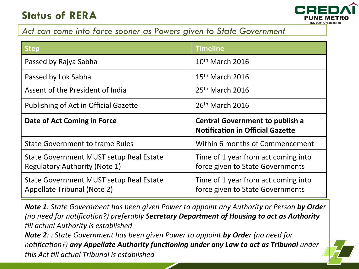## **Status of RERA**



#### *Act can come into force sooner as Powers given to State Government*

| <b>Step</b>                                                                     | <b>Timeline</b>                                                                   |
|---------------------------------------------------------------------------------|-----------------------------------------------------------------------------------|
| Passed by Rajya Sabha                                                           | $10th$ March 2016                                                                 |
| Passed by Lok Sabha                                                             | $15th$ March 2016                                                                 |
| Assent of the President of India                                                | 25 <sup>th</sup> March 2016                                                       |
| Publishing of Act in Official Gazette                                           | 26 <sup>th</sup> March 2016                                                       |
| Date of Act Coming in Force                                                     | <b>Central Government to publish a</b><br><b>Notification in Official Gazette</b> |
| <b>State Government to frame Rules</b>                                          | Within 6 months of Commencement                                                   |
| State Government MUST setup Real Estate<br><b>Regulatory Authority (Note 1)</b> | Time of 1 year from act coming into<br>force given to State Governments           |
| State Government MUST setup Real Estate<br>Appellate Tribunal (Note 2)          | Time of 1 year from act coming into<br>force given to State Governments           |

*Note 1:* State Government has been given Power to appoint any Authority or Person by Order *(no need for notification?)* preferably **Secretary Department of Housing to act as Authority** *till actual Authority is established Note 2: : State Government has been given Power to appoint by Order (no need for notification?)* any Appellate Authority functioning under any Law to act as Tribunal under *this Act till actual Tribunal is established*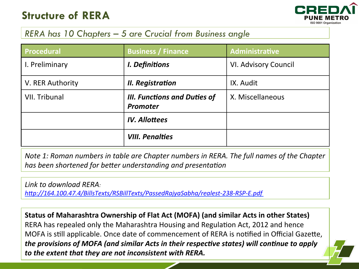### **Structure of RERA**



#### *RERA has 10 Chapters – 5 are Crucial from Business angle*

| Procedural           | <b>Business / Finance</b>                              | <b>Administrative</b>       |
|----------------------|--------------------------------------------------------|-----------------------------|
| I. Preliminary       | I. Definitions                                         | <b>VI. Advisory Council</b> |
| V. RER Authority     | II. Registration                                       | IX. Audit                   |
| <b>VII. Tribunal</b> | <b>III. Functions and Duties of</b><br><b>Promoter</b> | X. Miscellaneous            |
|                      | <b>IV. Allottees</b>                                   |                             |
|                      | <b>VIII. Penalties</b>                                 |                             |

*Note 1: Roman numbers in table are Chapter numbers in RERA. The full names of the Chapter has been shortened for better understanding and presentation* 

Link to download RERA:

http://164.100.47.4/BillsTexts/RSBillTexts/PassedRajyaSabha/realest-238-RSP-E.pdf

**Status of Maharashtra Ownership of Flat Act (MOFA) (and similar Acts in other States)** RERA has repealed only the Maharashtra Housing and Regulation Act, 2012 and hence MOFA is still applicable. Once date of commencement of RERA is notified in Official Gazette, *the provisions of MOFA (and similar Acts in their respective states) will continue to apply to the extent that they are not inconsistent with RERA.*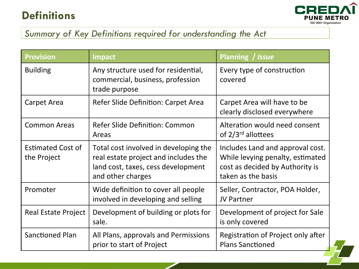## **Definitions**



8 

### *Summary of Key Definitions required for understanding the Act*

| <b>Provision</b>                        | <b>Impact</b>                                                                                                                            | Planning / Issue                                                                                                              |
|-----------------------------------------|------------------------------------------------------------------------------------------------------------------------------------------|-------------------------------------------------------------------------------------------------------------------------------|
| <b>Building</b>                         | Any structure used for residential,<br>commercial, business, profession<br>trade purpose                                                 | Every type of construction<br>covered                                                                                         |
| Carpet Area                             | Refer Slide Definition: Carpet Area                                                                                                      | Carpet Area will have to be<br>clearly disclosed everywhere                                                                   |
| <b>Common Areas</b>                     | <b>Refer Slide Definition: Common</b><br>Areas                                                                                           | Alteration would need consent<br>of $2/3^{rd}$ allottees                                                                      |
| <b>Estimated Cost of</b><br>the Project | Total cost involved in developing the<br>real estate project and includes the<br>land cost, taxes, cess development<br>and other charges | Includes Land and approval cost.<br>While levying penalty, estimated<br>cost as decided by Authority is<br>taken as the basis |
| Promoter                                | Wide definition to cover all people<br>involved in developing and selling                                                                | Seller, Contractor, POA Holder,<br><b>JV Partner</b>                                                                          |
| <b>Real Estate Project</b>              | Development of building or plots for<br>sale.                                                                                            | Development of project for Sale<br>is only covered                                                                            |
| Sanctioned Plan                         | All Plans, approvals and Permissions<br>prior to start of Project                                                                        | Registration of Project only after<br><b>Plans Sanctioned</b>                                                                 |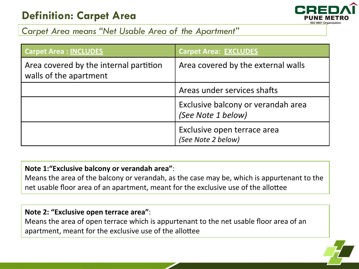## **Definition: Carpet Area**



#### *Carpet Area means "Net Usable Area of the Apartment"*

| <b>Carpet Area : INCLUDES</b>                                    | <b>Carpet Area: EXCLUDES</b>                             |
|------------------------------------------------------------------|----------------------------------------------------------|
| Area covered by the internal partition<br>walls of the apartment | Area covered by the external walls                       |
|                                                                  | Areas under services shafts                              |
|                                                                  | Exclusive balcony or verandah area<br>(See Note 1 below) |
|                                                                  | Exclusive open terrace area<br>(See Note 2 below)        |

#### Note 1:"Exclusive balcony or verandah area":

Means the area of the balcony or verandah, as the case may be, which is appurtenant to the net usable floor area of an apartment, meant for the exclusive use of the allottee

#### **Note 2: "Exclusive open terrace area":**

Means the area of open terrace which is appurtenant to the net usable floor area of an apartment, meant for the exclusive use of the allottee

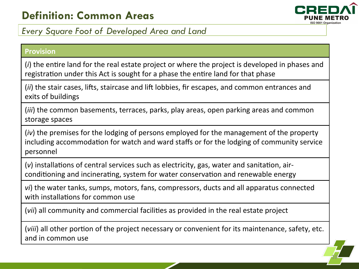

10 

#### *Every Square Foot of Developed Area and Land*

#### **Provision**

(*i*) the entire land for the real estate project or where the project is developed in phases and registration under this Act is sought for a phase the entire land for that phase

(*ii*) the stair cases, lifts, staircase and lift lobbies, fir escapes, and common entrances and exits of buildings

(*iii*) the common basements, terraces, parks, play areas, open parking areas and common storage spaces

(*iv*) the premises for the lodging of persons employed for the management of the property including accommodation for watch and ward staffs or for the lodging of community service personnel 

(*v*) installations of central services such as electricity, gas, water and sanitation, airconditioning and incinerating, system for water conservation and renewable energy

*vi*) the water tanks, sumps, motors, fans, compressors, ducts and all apparatus connected with installations for common use

(*vii*) all community and commercial facilities as provided in the real estate project

(*viii*) all other portion of the project necessary or convenient for its maintenance, safety, etc. and in common use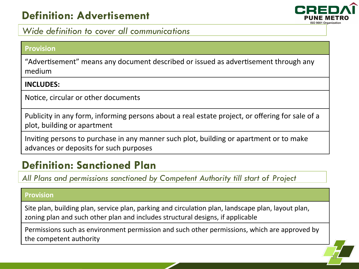## **Definition: Advertisement**



#### *Wide definition to cover all communications*

#### **Provision**

"Advertisement" means any document described or issued as advertisement through any medium 

#### **INCLUDES:**

Notice, circular or other documents

Publicity in any form, informing persons about a real estate project, or offering for sale of a plot, building or apartment

Inviting persons to purchase in any manner such plot, building or apartment or to make advances or deposits for such purposes

## **Definition: Sanctioned Plan**

*All Plans and permissions sanctioned by Competent Authority till start of Project* 

#### **Provision**

Site plan, building plan, service plan, parking and circulation plan, landscape plan, layout plan, zoning plan and such other plan and includes structural designs, if applicable

Permissions such as environment permission and such other permissions, which are approved by the competent authority

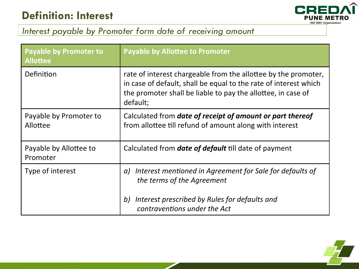

### *Interest payable by Promoter form date of receiving amount*

| <b>Payable by Promoter to</b><br><b>Allottee</b> | <b>Payable by Allottee to Promoter</b>                                                                                                                                                                         |
|--------------------------------------------------|----------------------------------------------------------------------------------------------------------------------------------------------------------------------------------------------------------------|
| Definition                                       | rate of interest chargeable from the allottee by the promoter,<br>in case of default, shall be equal to the rate of interest which<br>the promoter shall be liable to pay the allottee, in case of<br>default; |
| Payable by Promoter to<br>Allottee               | Calculated from <b>date of receipt of amount or part thereof</b><br>from allottee till refund of amount along with interest                                                                                    |
| Payable by Allottee to<br>Promoter               | Calculated from <b>date of default</b> till date of payment                                                                                                                                                    |
| Type of interest                                 | Interest mentioned in Agreement for Sale for defaults of<br>a)<br>the terms of the Agreement                                                                                                                   |
|                                                  | Interest prescribed by Rules for defaults and<br>b)<br>contraventions under the Act                                                                                                                            |

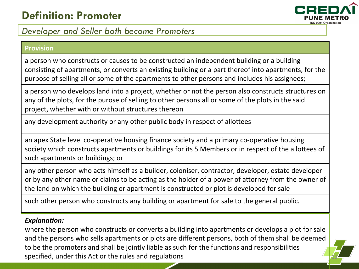## **Definition: Promoter**



13 

#### *Developer and Seller both become Promoters*

#### **Provision**

a person who constructs or causes to be constructed an independent building or a building consisting of apartments, or converts an existing building or a part thereof into apartments, for the purpose of selling all or some of the apartments to other persons and includes his assignees;

a person who develops land into a project, whether or not the person also constructs structures on any of the plots, for the purose of selling to other persons all or some of the plots in the said project, whether with or without structures thereon

any development authority or any other public body in respect of allottees

an apex State level co-operative housing finance society and a primary co-operative housing society which constructs apartments or buildings for its 5 Members or in respect of the allottees of such apartments or buildings; or

any other person who acts himself as a builder, coloniser, contractor, developer, estate developer or by any other name or claims to be acting as the holder of a power of attorney from the owner of the land on which the building or apartment is constructed or plot is developed for sale

such other person who constructs any building or apartment for sale to the general public.

#### **Explanation:**

where the person who constructs or converts a building into apartments or develops a plot for sale and the persons who sells apartments or plots are different persons, both of them shall be deemed to be the promoters and shall be jointly liable as such for the functions and responsibilities specified, under this Act or the rules and regulations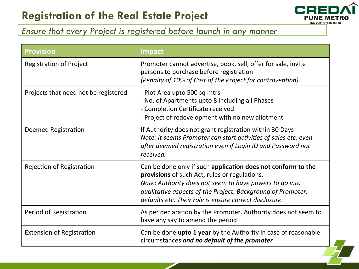

14 

### *Ensure that every Project is registered before launch in any manner*

| <b>Provision</b>                     | <b>Impact</b>                                                                                                                                                                                                                                                                                     |
|--------------------------------------|---------------------------------------------------------------------------------------------------------------------------------------------------------------------------------------------------------------------------------------------------------------------------------------------------|
| <b>Registration of Project</b>       | Promoter cannot advertise, book, sell, offer for sale, invite<br>persons to purchase before registration<br>(Penalty of 10% of Cost of the Project for contravention)                                                                                                                             |
| Projects that need not be registered | - Plot Area upto 500 sq mtrs<br>- No. of Apartments upto 8 including all Phases<br>- Completion Certificate received<br>- Project of redevelopment with no new allotment                                                                                                                          |
| <b>Deemed Registration</b>           | If Authority does not grant registration within 30 Days<br>Note: It seems Promoter can start activities of sales etc. even<br>after deemed registration even if Login ID and Password not<br>received.                                                                                            |
| <b>Rejection of Registration</b>     | Can be done only if such application does not conform to the<br>provisions of such Act, rules or regulations.<br>Note: Authority does not seem to have powers to go into<br>qualitative aspects of the Project, Background of Promoter,<br>defaults etc. Their role is ensure correct disclosure. |
| Period of Registration               | As per declaration by the Promoter. Authority does not seem to<br>have any say to amend the period                                                                                                                                                                                                |
| <b>Extension of Registration</b>     | Can be done upto 1 year by the Authority in case of reasonable<br>circumstances and no default of the promoter                                                                                                                                                                                    |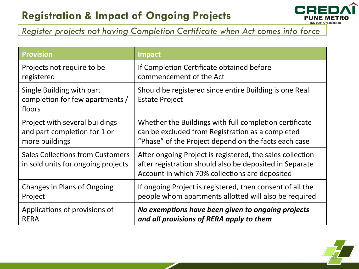## **Registration & Impact of Ongoing Projects**



#### *Register projects not having Completion Certificate when Act comes into force*

| <b>Provision</b>                                                              | <b>Impact</b>                                                                                                                                                          |
|-------------------------------------------------------------------------------|------------------------------------------------------------------------------------------------------------------------------------------------------------------------|
| Projects not require to be                                                    | If Completion Certificate obtained before                                                                                                                              |
| registered                                                                    | commencement of the Act                                                                                                                                                |
| Single Building with part<br>completion for few apartments /<br>floors        | Should be registered since entire Building is one Real<br><b>Estate Project</b>                                                                                        |
| Project with several buildings                                                | Whether the Buildings with full completion certificate                                                                                                                 |
| and part completion for 1 or                                                  | can be excluded from Registration as a completed                                                                                                                       |
| more buildings                                                                | "Phase" of the Project depend on the facts each case                                                                                                                   |
| <b>Sales Collections from Customers</b><br>in sold units for ongoing projects | After ongoing Project is registered, the sales collection<br>after registration should also be deposited in Separate<br>Account in which 70% collections are deposited |
| Changes in Plans of Ongoing                                                   | If ongoing Project is registered, then consent of all the                                                                                                              |
| Project                                                                       | people whom apartments allotted will also be required                                                                                                                  |
| Applications of provisions of                                                 | No exemptions have been given to ongoing projects                                                                                                                      |
| <b>RERA</b>                                                                   | and all provisions of RERA apply to them                                                                                                                               |

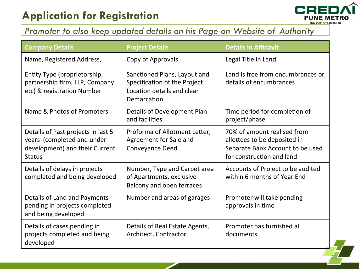## **Application for Registration**



16 

### *Promoter to also keep updated details on his Page on Website of Authority*

| <b>Company Details</b>                                                                                              | <b>Project Details</b>                                                                                      | <b>Details in Affidavit</b>                                                                                                  |
|---------------------------------------------------------------------------------------------------------------------|-------------------------------------------------------------------------------------------------------------|------------------------------------------------------------------------------------------------------------------------------|
| Name, Registered Address,                                                                                           | Copy of Approvals                                                                                           | Legal Title in Land                                                                                                          |
| Entity Type (proprietorship,<br>partnership firm, LLP, Company<br>etc) & registration Number                        | Sanctioned Plans, Layout and<br>Specification of the Project.<br>Location details and clear<br>Demarcation. | Land is free from encumbrances or<br>details of encumbrances                                                                 |
| Name & Photos of Promoters                                                                                          | Details of Development Plan<br>and facilities                                                               | Time period for completion of<br>project/phase                                                                               |
| Details of Past projects in last 5<br>years (completed and under<br>development) and their Current<br><b>Status</b> | Proforma of Allotment Letter,<br>Agreement for Sale and<br><b>Conveyance Deed</b>                           | 70% of amount realised from<br>allottees to be deposited in<br>Separate Bank Account to be used<br>for construction and land |
| Details of delays in projects<br>completed and being developed                                                      | Number, Type and Carpet area<br>of Apartments, exclusive<br>Balcony and open terraces                       | Accounts of Project to be audited<br>within 6 months of Year End                                                             |
| Details of Land and Payments<br>pending in projects completed<br>and being developed                                | Number and areas of garages                                                                                 | Promoter will take pending<br>approvals in time                                                                              |
| Details of cases pending in<br>projects completed and being<br>developed                                            | Details of Real Estate Agents,<br>Architect, Contractor                                                     | Promoter has furnished all<br>documents                                                                                      |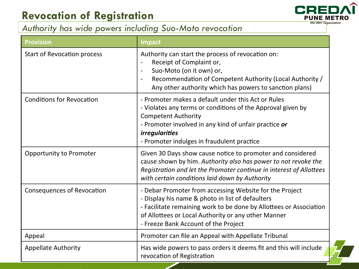## **Revocation of Registration**



#### *Authority has wide powers including Suo-Moto revocation*

| <b>Provision</b>                   | <b>Impact</b>                                                                                                                                                                                                                                                                    |
|------------------------------------|----------------------------------------------------------------------------------------------------------------------------------------------------------------------------------------------------------------------------------------------------------------------------------|
| <b>Start of Revocation process</b> | Authority can start the process of revocation on:<br>Receipt of Complaint or,<br>Suo-Moto (on it own) or,<br>$\overline{\phantom{a}}$<br>Recommendation of Competent Authority (Local Authority /<br>Any other authority which has powers to sanction plans)                     |
| <b>Conditions for Revocation</b>   | - Promoter makes a default under this Act or Rules<br>- Violates any terms or conditions of the Approval given by<br><b>Competent Authority</b><br>- Promoter involved in any kind of unfair practice or<br><i>irregularities</i><br>- Promoter indulges in fraudulent practice  |
| <b>Opportunity to Promoter</b>     | Given 30 Days show cause notice to promoter and considered<br>cause shown by him. Authority also has power to not revoke the<br>Registration and let the Promoter continue in interest of Allottees<br>with certain conditions laid down by Authority                            |
| <b>Consequences of Revocation</b>  | - Debar Promoter from accessing Website for the Project<br>- Display his name & photo in list of defaulters<br>- Facilitate remaining work to be done by Allottees or Association<br>of Allottees or Local Authority or any other Manner<br>- Freeze Bank Account of the Project |
| Appeal                             | Promoter can file an Appeal with Appellate Tribunal                                                                                                                                                                                                                              |
| <b>Appellate Authority</b>         | Has wide powers to pass orders it deems fit and this will include<br>revocation of Registration                                                                                                                                                                                  |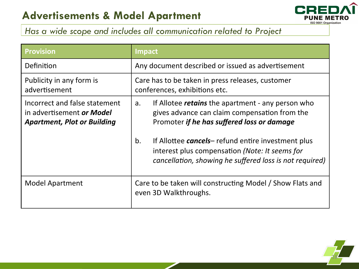

### *Has a wide scope and includes all communication related to Project*

| <b>Provision</b>                                                                                 | Impact                                                                                                                                                                                                                                                                                                                                        |
|--------------------------------------------------------------------------------------------------|-----------------------------------------------------------------------------------------------------------------------------------------------------------------------------------------------------------------------------------------------------------------------------------------------------------------------------------------------|
| Definition                                                                                       | Any document described or issued as advertisement                                                                                                                                                                                                                                                                                             |
| Publicity in any form is<br>advertisement                                                        | Care has to be taken in press releases, customer<br>conferences, exhibitions etc.                                                                                                                                                                                                                                                             |
| Incorrect and false statement<br>in advertisement or Model<br><b>Apartment, Plot or Building</b> | If Allotee <i>retains</i> the apartment - any person who<br>a.<br>gives advance can claim compensation from the<br>Promoter if he has suffered loss or damage<br>If Allottee <i>cancels</i> -refund entire investment plus<br>b.<br>interest plus compensation (Note: It seems for<br>cancellation, showing he suffered loss is not required) |
| <b>Model Apartment</b>                                                                           | Care to be taken will constructing Model / Show Flats and<br>even 3D Walkthroughs.                                                                                                                                                                                                                                                            |

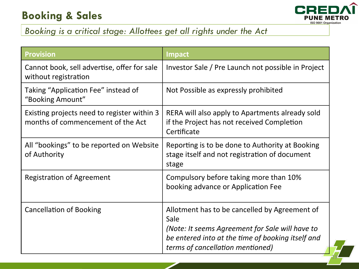## **Booking & Sales**



19 

### *Booking is a critical stage: Allottees get all rights under the Act*

| <b>Provision</b>                                                                 | <b>Impact</b>                                                                                                                                                                                     |
|----------------------------------------------------------------------------------|---------------------------------------------------------------------------------------------------------------------------------------------------------------------------------------------------|
| Cannot book, sell advertise, offer for sale<br>without registration              | Investor Sale / Pre Launch not possible in Project                                                                                                                                                |
| Taking "Application Fee" instead of<br>"Booking Amount"                          | Not Possible as expressly prohibited                                                                                                                                                              |
| Existing projects need to register within 3<br>months of commencement of the Act | RERA will also apply to Apartments already sold<br>if the Project has not received Completion<br>Certificate                                                                                      |
| All "bookings" to be reported on Website<br>of Authority                         | Reporting is to be done to Authority at Booking<br>stage itself and not registration of document<br>stage                                                                                         |
| <b>Registration of Agreement</b>                                                 | Compulsory before taking more than 10%<br>booking advance or Application Fee                                                                                                                      |
| <b>Cancellation of Booking</b>                                                   | Allotment has to be cancelled by Agreement of<br>Sale<br>(Note: It seems Agreement for Sale will have to<br>be entered into at the time of booking itself and<br>terms of cancellation mentioned) |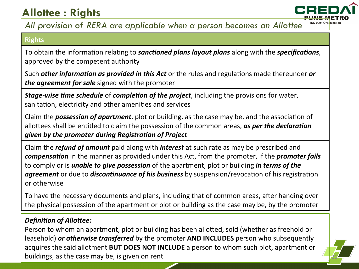## **Allottee : Rights**



#### *All provision of RERA are applicable when a person becomes an Allottee*

#### **Rights**

To obtain the information relating to *sanctioned plans layout plans* along with the *specifications*, approved by the competent authority

Such *other information as provided in this Act* or the rules and regulations made thereunder *or the agreement for sale* signed with the promoter

*Stage-wise time schedule* of *completion of the project*, including the provisions for water, sanitation, electricity and other amenities and services

Claim the **possession of apartment**, plot or building, as the case may be, and the association of allottees shall be entitled to claim the possession of the common areas, as per the declaration *given by the promoter during Registration of Project* 

Claim the *refund of amount* paid along with *interest* at such rate as may be prescribed and *compensation* in the manner as provided under this Act, from the promoter, if the *promoter fails* to comply or is *unable to give possession* of the apartment, plot or building *in terms of the* **agreement** or due to **discontinuance of his business** by suspension/revocation of his registration or otherwise 

To have the necessary documents and plans, including that of common areas, after handing over the physical possession of the apartment or plot or building as the case may be, by the promoter

#### **Definition of Allottee:**

Person to whom an apartment, plot or building has been allotted, sold (whether as freehold or leasehold) *or otherwise transferred* by the promoter **AND INCLUDES** person who subsequently acquires the said allotment **BUT DOES NOT INCLUDE** a person to whom such plot, apartment or buildings, as the case may be, is given on rent

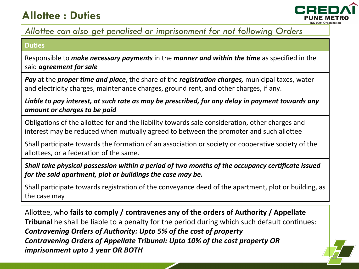## **Allottee : Duties**



21 

#### *Allottee can also get penalised or imprisonment for not following Orders*

#### **Duties**

Responsible to *make necessary payments* in the *manner and within the time* as specified in the said *agreement* for sale

*Pay* at the *proper time and place*, the share of the *registration charges*, municipal taxes, water and electricity charges, maintenance charges, ground rent, and other charges, if any.

Liable to pay interest, at such rate as may be prescribed, for any delay in payment towards any amount or charges to be paid

Obligations of the allottee for and the liability towards sale consideration, other charges and interest may be reduced when mutually agreed to between the promoter and such allottee

Shall participate towards the formation of an association or society or cooperative society of the allottees, or a federation of the same.

*Shall take physical possession within a period of two months of the occupancy certificate issued for the said apartment, plot or buildings the case may be.* 

Shall participate towards registration of the conveyance deed of the apartment, plot or building, as the case may

Allottee, who fails to comply / contravenes any of the orders of Authority / Appellate **Tribunal** he shall be liable to a penalty for the period during which such default continues: *Contravening Orders of Authority: Upto 5% of the cost of property* **Contravening Orders of Appellate Tribunal: Upto 10% of the cost property OR** *imprisonment upto 1 year OR BOTH*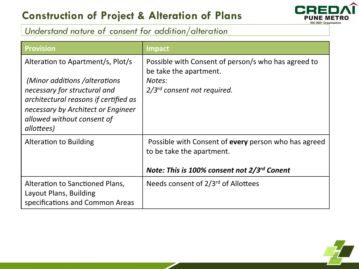### **Construction of Project & Alteration of Plans**



### *Understand nature of consent for addition/alteration*

| <b>Provision</b>                                                                                                                                                                                                              | <b>Impact</b>                                                                                                                    |
|-------------------------------------------------------------------------------------------------------------------------------------------------------------------------------------------------------------------------------|----------------------------------------------------------------------------------------------------------------------------------|
| Alteration to Apartment/s, Plot/s<br>(Minor additions /alterations<br>necessary for structural and<br>architectural reasons if certified as<br>necessary by Architect or Engineer<br>allowed without consent of<br>allottees) | Possible with Consent of person/s who has agreed to<br>be take the apartment.<br>Notes:<br>$2/3^{rd}$ consent not required.      |
| <b>Alteration to Building</b>                                                                                                                                                                                                 | Possible with Consent of every person who has agreed<br>to be take the apartment.<br>Note: This is 100% consent not 2/3rd Conent |
| Alteration to Sanctioned Plans,<br>Layout Plans, Building<br>specifications and Common Areas                                                                                                                                  | Needs consent of 2/3rd of Allottees                                                                                              |

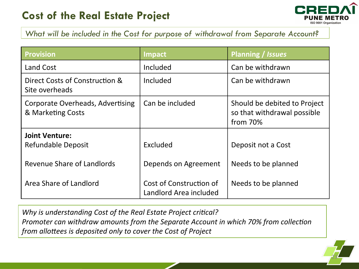

*What will be included in the Cost for purpose of withdrawal from Separate Account?* 

| <b>Provision</b>                                      | Impact                                            | Planning / Issues                                                       |
|-------------------------------------------------------|---------------------------------------------------|-------------------------------------------------------------------------|
| Land Cost                                             | Included                                          | Can be withdrawn                                                        |
| Direct Costs of Construction &<br>Site overheads      | Included                                          | Can be withdrawn                                                        |
| Corporate Overheads, Advertising<br>& Marketing Costs | Can be included                                   | Should be debited to Project<br>so that withdrawal possible<br>from 70% |
| <b>Joint Venture:</b>                                 |                                                   |                                                                         |
| Refundable Deposit                                    | Excluded                                          | Deposit not a Cost                                                      |
| Revenue Share of Landlords                            | Depends on Agreement                              | Needs to be planned                                                     |
| Area Share of Landlord                                | Cost of Construction of<br>Landlord Area included | Needs to be planned                                                     |

*Why is understanding Cost of the Real Estate Project critical? Promoter can withdraw amounts from the Separate Account in which 70% from collection from allottees is deposited only to cover the Cost of Project* 

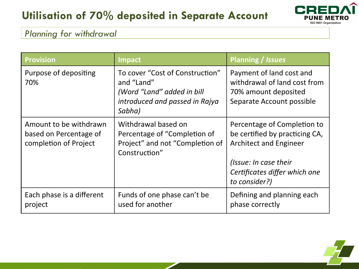## **Utilisation of 70% deposited in Separate Account**



#### *Planning for withdrawal*

| <b>Provision</b>                                                          | Impact                                                                                                                  | <b>Planning / Issues</b>                                                                                                                                                  |
|---------------------------------------------------------------------------|-------------------------------------------------------------------------------------------------------------------------|---------------------------------------------------------------------------------------------------------------------------------------------------------------------------|
| Purpose of depositing<br>70%                                              | To cover "Cost of Construction"<br>and "Land"<br>(Word "Land" added in bill<br>introduced and passed in Rajya<br>Sabha) | Payment of land cost and<br>withdrawal of land cost from<br>70% amount deposited<br>Separate Account possible                                                             |
| Amount to be withdrawn<br>based on Percentage of<br>completion of Project | Withdrawal based on<br>Percentage of "Completion of<br>Project" and not "Completion of<br>Construction"                 | Percentage of Completion to<br>be certified by practicing CA,<br><b>Architect and Engineer</b><br>(Issue: In case their<br>Certificates differ which one<br>to consider?) |
| Each phase is a different<br>project                                      | Funds of one phase can't be<br>used for another                                                                         | Defining and planning each<br>phase correctly                                                                                                                             |

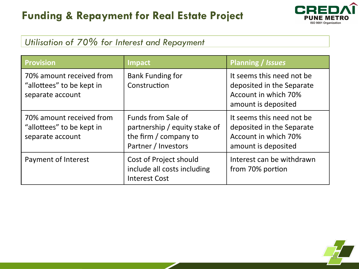## **Funding & Repayment for Real Estate Project**



### *Utilisation of 70% for Interest and Repayment*

| <b>Provision</b>                                                          | <b>Impact</b>                                                                                       | <b>Planning / Issues</b>                                                                              |
|---------------------------------------------------------------------------|-----------------------------------------------------------------------------------------------------|-------------------------------------------------------------------------------------------------------|
| 70% amount received from<br>"allottees" to be kept in<br>separate account | <b>Bank Funding for</b><br>Construction                                                             | It seems this need not be<br>deposited in the Separate<br>Account in which 70%<br>amount is deposited |
| 70% amount received from<br>"allottees" to be kept in<br>separate account | Funds from Sale of<br>partnership / equity stake of<br>the firm / company to<br>Partner / Investors | It seems this need not be<br>deposited in the Separate<br>Account in which 70%<br>amount is deposited |
| Payment of Interest                                                       | Cost of Project should<br>include all costs including<br><b>Interest Cost</b>                       | Interest can be withdrawn<br>from 70% portion                                                         |

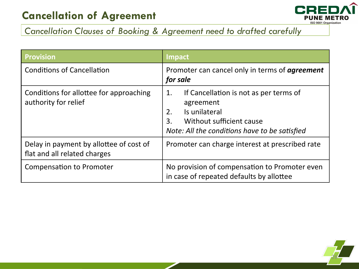### **Cancellation of Agreement**



### *Cancellation Clauses of Booking & Agreement need to drafted carefully*

| <b>Provision</b>                                                        | <b>Impact</b>                                                                                                                                                       |
|-------------------------------------------------------------------------|---------------------------------------------------------------------------------------------------------------------------------------------------------------------|
| <b>Conditions of Cancellation</b>                                       | Promoter can cancel only in terms of <b>agreement</b><br>for sale                                                                                                   |
| Conditions for allottee for approaching<br>authority for relief         | If Cancellation is not as per terms of<br>1.<br>agreement<br>Is unilateral<br>2.<br>Without sufficient cause<br>3.<br>Note: All the conditions have to be satisfied |
| Delay in payment by allottee of cost of<br>flat and all related charges | Promoter can charge interest at prescribed rate                                                                                                                     |
| <b>Compensation to Promoter</b>                                         | No provision of compensation to Promoter even<br>in case of repeated defaults by allottee                                                                           |

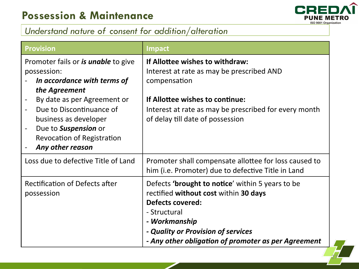

27 

### *Understand nature of consent for addition/alteration*

| <b>Provision</b>                                                                                                                                                         | <b>Impact</b>                                                                                                                                                                                                                                             |
|--------------------------------------------------------------------------------------------------------------------------------------------------------------------------|-----------------------------------------------------------------------------------------------------------------------------------------------------------------------------------------------------------------------------------------------------------|
| Promoter fails or <i>is unable</i> to give<br>possession:<br>In accordance with terms of<br>the Agreement                                                                | If Allottee wishes to withdraw:<br>Interest at rate as may be prescribed AND<br>compensation                                                                                                                                                              |
| By date as per Agreement or<br>Due to Discontinuance of<br>business as developer<br>Due to <b>Suspension</b> or<br><b>Revocation of Registration</b><br>Any other reason | If Allottee wishes to continue:<br>Interest at rate as may be prescribed for every month<br>of delay till date of possession                                                                                                                              |
| Loss due to defective Title of Land                                                                                                                                      | Promoter shall compensate allottee for loss caused to<br>him (i.e. Promoter) due to defective Title in Land                                                                                                                                               |
| <b>Rectification of Defects after</b><br>possession                                                                                                                      | Defects <b>'brought to notice'</b> within 5 years to be<br>rectified without cost within 30 days<br><b>Defects covered:</b><br>- Structural<br>- Workmanship<br>- Quality or Provision of services<br>- Any other obligation of promoter as per Agreement |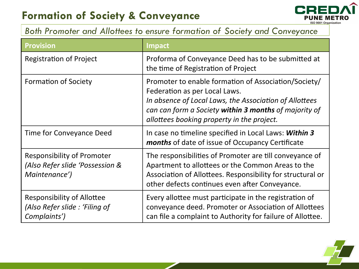## **Formation of Society & Conveyance**



#### *Both Promoter and Allottees to ensure formation of Society and Conveyance*

| <b>Provision</b>                                                                      | <b>Impact</b>                                                                                                                                                                                                                                          |
|---------------------------------------------------------------------------------------|--------------------------------------------------------------------------------------------------------------------------------------------------------------------------------------------------------------------------------------------------------|
| <b>Registration of Project</b>                                                        | Proforma of Conveyance Deed has to be submitted at<br>the time of Registration of Project                                                                                                                                                              |
| <b>Formation of Society</b>                                                           | Promoter to enable formation of Association/Society/<br>Federation as per Local Laws.<br>In absence of Local Laws, the Association of Allottees<br>can can form a Society within 3 months of majority of<br>allottees booking property in the project. |
| Time for Conveyance Deed                                                              | In case no timeline specified in Local Laws: Within 3<br><b>months</b> of date of issue of Occupancy Certificate                                                                                                                                       |
| <b>Responsibility of Promoter</b><br>(Also Refer slide 'Possession &<br>Maintenance') | The responsibilities of Promoter are till conveyance of<br>Apartment to allottees or the Common Areas to the<br>Association of Allottees. Responsibility for structural or<br>other defects continues even after Conveyance.                           |
| Responsibility of Allottee<br>(Also Refer slide: 'Filing of<br>Complaints')           | Every allottee must participate in the registration of<br>conveyance deed. Promoter or Association of Allottees<br>can file a complaint to Authority for failure of Allottee.                                                                          |

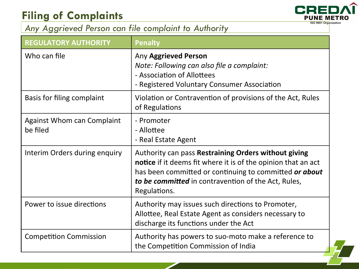## **Filing of Complaints**



29 

### *Any Aggrieved Person can file complaint to Authority*

| <b>REGULATORY AUTHORITY</b>                   | <b>Penalty</b>                                                                                                                                                                                                                                                |
|-----------------------------------------------|---------------------------------------------------------------------------------------------------------------------------------------------------------------------------------------------------------------------------------------------------------------|
| Who can file                                  | Any Aggrieved Person<br>Note: Following can also file a complaint:<br>- Association of Allottees<br>- Registered Voluntary Consumer Association                                                                                                               |
| <b>Basis for filing complaint</b>             | Violation or Contravention of provisions of the Act, Rules<br>of Regulations                                                                                                                                                                                  |
| <b>Against Whom can Complaint</b><br>be filed | - Promoter<br>- Allottee<br>- Real Estate Agent                                                                                                                                                                                                               |
| Interim Orders during enquiry                 | Authority can pass Restraining Orders without giving<br><b>notice</b> if it deems fit where it is of the opinion that an act<br>has been committed or continuing to committed or about<br>to be committed in contravention of the Act, Rules,<br>Regulations. |
| Power to issue directions                     | Authority may issues such directions to Promoter,<br>Allottee, Real Estate Agent as considers necessary to<br>discharge its functions under the Act                                                                                                           |
| <b>Competition Commission</b>                 | Authority has powers to suo-moto make a reference to<br>the Competition Commission of India                                                                                                                                                                   |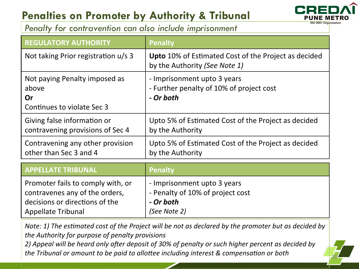## **Penalties on Promoter by Authority & Tribunal**



*Penalty for contravention can also include imprisonment* 

| <b>REGULATORY AUTHORITY</b>                                                                                                 | <b>Penalty</b>                                                                               |
|-----------------------------------------------------------------------------------------------------------------------------|----------------------------------------------------------------------------------------------|
| Not taking Prior registration u/s 3                                                                                         | Upto 10% of Estimated Cost of the Project as decided<br>by the Authority (See Note 1)        |
| Not paying Penalty imposed as<br>above<br>Or<br>Continues to violate Sec 3                                                  | - Imprisonment upto 3 years<br>- Further penalty of 10% of project cost<br>- Or both         |
| Giving false information or<br>contravening provisions of Sec 4                                                             | Upto 5% of Estimated Cost of the Project as decided<br>by the Authority                      |
| Contravening any other provision<br>other than Sec 3 and 4                                                                  | Upto 5% of Estimated Cost of the Project as decided<br>by the Authority                      |
| <b>APPELLATE TRIBUNAL</b>                                                                                                   | <b>Penalty</b>                                                                               |
| Promoter fails to comply with, or<br>contravenes any of the orders,<br>decisions or directions of the<br>Appellate Tribunal | - Imprisonment upto 3 years<br>- Penalty of 10% of project cost<br>- Or both<br>(See Note 2) |

*Note: 1)* The estimated cost of the Project will be not as declared by the promoter but as decided by the Authority for purpose of penalty provisions

2) Appeal will be heard only after deposit of 30% of penalty or such higher percent as decided by *the Tribunal or amount to be paid to allottee including interest & compensation or both*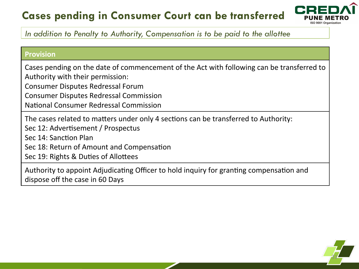## **Cases pending in Consumer Court can be transferred**



In addition to Penalty to Authority, Compensation is to be paid to the allottee

#### **Provision**

Cases pending on the date of commencement of the Act with following can be transferred to Authority with their permission:

Consumer Disputes Redressal Forum

Consumer Disputes Redressal Commission

National Consumer Redressal Commission

The cases related to matters under only 4 sections can be transferred to Authority:

Sec 12: Advertisement / Prospectus

Sec 14: Sanction Plan

Sec 18: Return of Amount and Compensation

Sec 19: Rights & Duties of Allottees

Authority to appoint Adjudicating Officer to hold inquiry for granting compensation and dispose off the case in 60 Days

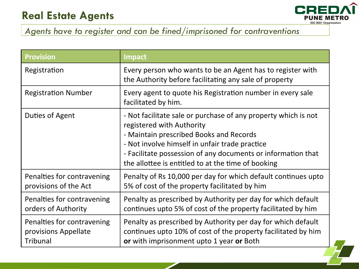### **Real Estate Agents**



32 

### *Agents have to register and can be fined/imprisoned for contraventions*

| <b>Provision</b>                                               | <b>Impact</b>                                                                                                                                                                                                                                                                                                  |
|----------------------------------------------------------------|----------------------------------------------------------------------------------------------------------------------------------------------------------------------------------------------------------------------------------------------------------------------------------------------------------------|
| Registration                                                   | Every person who wants to be an Agent has to register with<br>the Authority before facilitating any sale of property                                                                                                                                                                                           |
| <b>Registration Number</b>                                     | Every agent to quote his Registration number in every sale<br>facilitated by him.                                                                                                                                                                                                                              |
| Duties of Agent                                                | - Not facilitate sale or purchase of any property which is not<br>registered with Authority<br>- Maintain prescribed Books and Records<br>- Not involve himself in unfair trade practice<br>- Facilitate possession of any documents or information that<br>the allottee is entitled to at the time of booking |
| Penalties for contravening<br>provisions of the Act            | Penalty of Rs 10,000 per day for which default continues upto<br>5% of cost of the property facilitated by him                                                                                                                                                                                                 |
| Penalties for contravening<br>orders of Authority              | Penalty as prescribed by Authority per day for which default<br>continues upto 5% of cost of the property facilitated by him                                                                                                                                                                                   |
| Penalties for contravening<br>provisions Appellate<br>Tribunal | Penalty as prescribed by Authority per day for which default<br>continues upto 10% of cost of the property facilitated by him<br>or with imprisonment upto 1 year or Both                                                                                                                                      |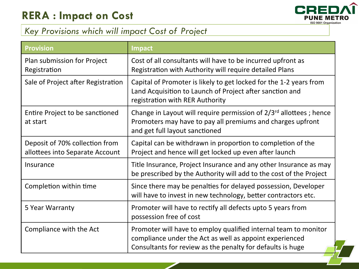

### *Key Provisions which will impact Cost of Project*

| <b>Provision</b>                                                  | <b>Impact</b>                                                                                                                                                                            |
|-------------------------------------------------------------------|------------------------------------------------------------------------------------------------------------------------------------------------------------------------------------------|
| Plan submission for Project<br>Registration                       | Cost of all consultants will have to be incurred upfront as<br>Registration with Authority will require detailed Plans                                                                   |
| Sale of Project after Registration                                | Capital of Promoter is likely to get locked for the 1-2 years from<br>Land Acquisition to Launch of Project after sanction and<br>registration with RER Authority                        |
| Entire Project to be sanctioned<br>at start                       | Change in Layout will require permission of 2/3 <sup>rd</sup> allottees; hence<br>Promoters may have to pay all premiums and charges upfront<br>and get full layout sanctioned           |
| Deposit of 70% collection from<br>allottees into Separate Account | Capital can be withdrawn in proportion to completion of the<br>Project and hence will get locked up even after launch                                                                    |
| Insurance                                                         | Title Insurance, Project Insurance and any other Insurance as may<br>be prescribed by the Authority will add to the cost of the Project                                                  |
| Completion within time                                            | Since there may be penalties for delayed possession, Developer<br>will have to invest in new technology, better contractors etc.                                                         |
| 5 Year Warranty                                                   | Promoter will have to rectify all defects upto 5 years from<br>possession free of cost                                                                                                   |
| Compliance with the Act                                           | Promoter will have to employ qualified internal team to monitor<br>compliance under the Act as well as appoint experienced<br>Consultants for review as the penalty for defaults is huge |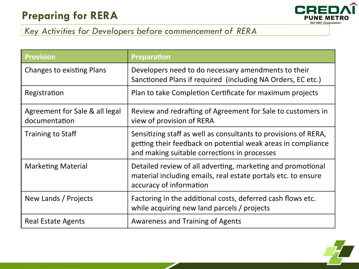## **Preparing for RERA**



### *Key Activities for Developers before commencement of RERA*

| <b>Provision</b>                                | <b>Preparation</b>                                                                                                                                                              |
|-------------------------------------------------|---------------------------------------------------------------------------------------------------------------------------------------------------------------------------------|
| <b>Changes to existing Plans</b>                | Developers need to do necessary amendments to their<br>Sanctioned Plans if required (including NA Orders, EC etc.)                                                              |
| Registration                                    | Plan to take Completion Certificate for maximum projects                                                                                                                        |
| Agreement for Sale & all legal<br>documentation | Review and redrafting of Agreement for Sale to customers in<br>view of provision of RERA                                                                                        |
| <b>Training to Staff</b>                        | Sensitizing staff as well as consultants to provisions of RERA,<br>getting their feedback on potential weak areas in compliance<br>and making suitable corrections in processes |
| <b>Marketing Material</b>                       | Detailed review of all adverting, marketing and promotional<br>material including emails, real estate portals etc. to ensure<br>accuracy of information                         |
| New Lands / Projects                            | Factoring in the additional costs, deferred cash flows etc.<br>while acquiring new land parcels / projects                                                                      |
| <b>Real Estate Agents</b>                       | <b>Awareness and Training of Agents</b>                                                                                                                                         |

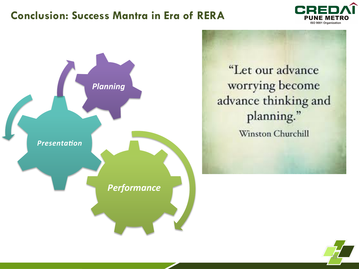### **Conclusion: Success Mantra in Era of RERA**





"Let our advance worrying become advance thinking and planning." Winston Churchill